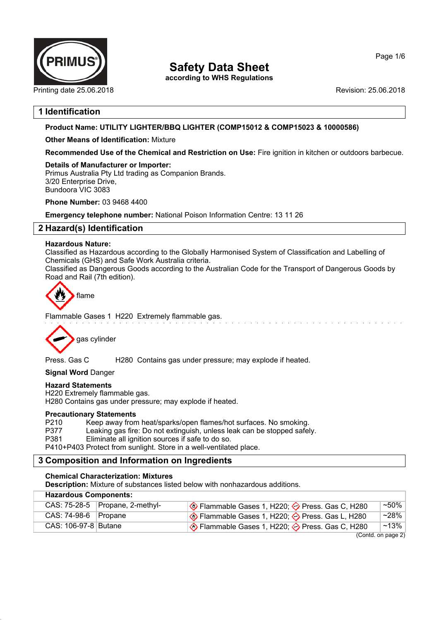

**according to WHS Regulations**

Printing date 25.06.2018 **Printing date 25.06.2018** Revision: 25.06.2018

## **1 Identification**

## **Product Name: UTILITY LIGHTER/BBQ LIGHTER (COMP15012 & COMP15023 & 10000586)**

## **Other Means of Identification:** Mixture

**Recommended Use of the Chemical and Restriction on Use:** Fire ignition in kitchen or outdoors barbecue.

## **Details of Manufacturer or Importer:**

Primus Australia Pty Ltd trading as Companion Brands. 3/20 Enterprise Drive, Bundoora VIC 3083

**Phone Number:** 03 9468 4400

**Emergency telephone number:** National Poison Information Centre: 13 11 26

## **2 Hazard(s) Identification**

## **Hazardous Nature:**

Classified as Hazardous according to the Globally Harmonised System of Classification and Labelling of Chemicals (GHS) and Safe Work Australia criteria.

Classified as Dangerous Goods according to the Australian Code for the Transport of Dangerous Goods by Road and Rail (7th edition).



Flammable Gases 1 H220 Extremely flammable gas.



Press. Gas C H280 Contains gas under pressure; may explode if heated.

## **Signal Word** Danger

## **Hazard Statements**

H220 Extremely flammable gas. H280 Contains gas under pressure; may explode if heated.

#### **Precautionary Statements**

P210 Keep away from heat/sparks/open flames/hot surfaces. No smoking.<br>P377 Leaking gas fire: Do not extinguish, unless leak can be stopped safel

P377 Leaking gas fire: Do not extinguish, unless leak can be stopped safely.<br>P381 Fliminate all ignition sources if safe to do so Eliminate all ignition sources if safe to do so.

P410+P403 Protect from sunlight. Store in a well-ventilated place.

## **3 Composition and Information on Ingredients**

## **Chemical Characterization: Mixtures**

**Description:** Mixture of substances listed below with nonhazardous additions.

| <b>Hazardous Components:</b>                         |                                   |                                                                   |           |  |  |
|------------------------------------------------------|-----------------------------------|-------------------------------------------------------------------|-----------|--|--|
|                                                      | CAS: $75-28-5$ Propane, 2-methyl- | Solem Press. Gas C, H220; → Press. Gas C, H280                    | $~1.50\%$ |  |  |
| $CAS: 74-98-6$ Propane                               |                                   | So Flammable Gases 1, H220;  so Press. Gas L, H280                | $~28\%$   |  |  |
| CAS: 106-97-8 Butane                                 |                                   | $\Diamond$ Flammable Gases 1, H220; $\Diamond$ Press. Gas C, H280 | $~13\%$   |  |  |
| $(n_{\text{sub}} + n_{\text{sub}} + n_{\text{sub}})$ |                                   |                                                                   |           |  |  |

(Contd. on page 2)

Page 1/6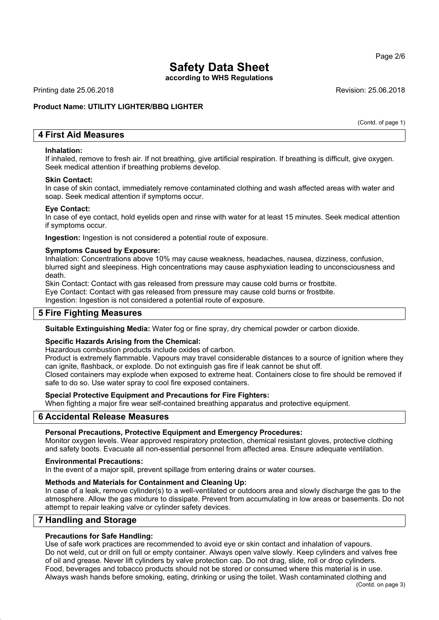**according to WHS Regulations**

Printing date 25.06.2018 **Revision: 25.06.2018** Revision: 25.06.2018

## **Product Name: UTILITY LIGHTER/BBQ LIGHTER**

(Contd. of page 1)

## **4 First Aid Measures**

#### **Inhalation:**

If inhaled, remove to fresh air. If not breathing, give artificial respiration. If breathing is difficult, give oxygen. Seek medical attention if breathing problems develop.

#### **Skin Contact:**

In case of skin contact, immediately remove contaminated clothing and wash affected areas with water and soap. Seek medical attention if symptoms occur.

#### **Eye Contact:**

In case of eye contact, hold eyelids open and rinse with water for at least 15 minutes. Seek medical attention if symptoms occur.

**Ingestion:** Ingestion is not considered a potential route of exposure.

#### **Symptoms Caused by Exposure:**

Inhalation: Concentrations above 10% may cause weakness, headaches, nausea, dizziness, confusion, blurred sight and sleepiness. High concentrations may cause asphyxiation leading to unconsciousness and death.

Skin Contact: Contact with gas released from pressure may cause cold burns or frostbite. Eye Contact: Contact with gas released from pressure may cause cold burns or frostbite.

Ingestion: Ingestion is not considered a potential route of exposure.

## **5 Fire Fighting Measures**

**Suitable Extinguishing Media:** Water fog or fine spray, dry chemical powder or carbon dioxide.

## **Specific Hazards Arising from the Chemical:**

Hazardous combustion products include oxides of carbon.

Product is extremely flammable. Vapours may travel considerable distances to a source of ignition where they can ignite, flashback, or explode. Do not extinguish gas fire if leak cannot be shut off. Closed containers may explode when exposed to extreme heat. Containers close to fire should be removed if safe to do so. Use water spray to cool fire exposed containers.

#### **Special Protective Equipment and Precautions for Fire Fighters:**

When fighting a major fire wear self-contained breathing apparatus and protective equipment.

## **6 Accidental Release Measures**

#### **Personal Precautions, Protective Equipment and Emergency Procedures:**

Monitor oxygen levels. Wear approved respiratory protection, chemical resistant gloves, protective clothing and safety boots. Evacuate all non-essential personnel from affected area. Ensure adequate ventilation.

#### **Environmental Precautions:**

In the event of a major spill, prevent spillage from entering drains or water courses.

## **Methods and Materials for Containment and Cleaning Up:**

In case of a leak, remove cylinder(s) to a well-ventilated or outdoors area and slowly discharge the gas to the atmosphere. Allow the gas mixture to dissipate. Prevent from accumulating in low areas or basements. Do not attempt to repair leaking valve or cylinder safety devices.

## **7 Handling and Storage**

## **Precautions for Safe Handling:**

Use of safe work practices are recommended to avoid eye or skin contact and inhalation of vapours. Do not weld, cut or drill on full or empty container. Always open valve slowly. Keep cylinders and valves free of oil and grease. Never lift cylinders by valve protection cap. Do not drag, slide, roll or drop cylinders. Food, beverages and tobacco products should not be stored or consumed where this material is in use. Always wash hands before smoking, eating, drinking or using the toilet. Wash contaminated clothing and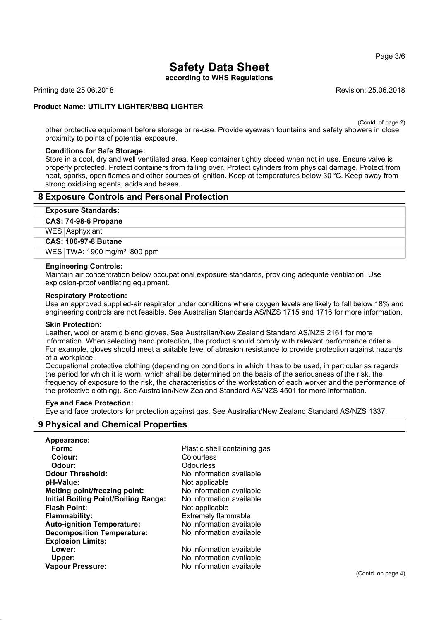Page 3/6

# **Safety Data Sheet**

**according to WHS Regulations**

Printing date 25.06.2018 **Revision: 25.06.2018** Revision: 25.06.2018

## **Product Name: UTILITY LIGHTER/BBQ LIGHTER**

(Contd. of page 2)

other protective equipment before storage or re-use. Provide eyewash fountains and safety showers in close proximity to points of potential exposure.

#### **Conditions for Safe Storage:**

Store in a cool, dry and well ventilated area. Keep container tightly closed when not in use. Ensure valve is properly protected. Protect containers from falling over. Protect cylinders from physical damage. Protect from heat, sparks, open flames and other sources of ignition. Keep at temperatures below 30 ℃. Keep away from strong oxidising agents, acids and bases.

#### **8 Exposure Controls and Personal Protection**

#### **Exposure Standards:**

#### **CAS: 74-98-6 Propane**

WES Asphyxiant

#### **CAS: 106-97-8 Butane**

WES TWA: 1900 mg/m<sup>3</sup>, 800 ppm

#### **Engineering Controls:**

Maintain air concentration below occupational exposure standards, providing adequate ventilation. Use explosion-proof ventilating equipment.

#### **Respiratory Protection:**

Use an approved supplied-air respirator under conditions where oxygen levels are likely to fall below 18% and engineering controls are not feasible. See Australian Standards AS/NZS 1715 and 1716 for more information.

#### **Skin Protection:**

Leather, wool or aramid blend gloves. See Australian/New Zealand Standard AS/NZS 2161 for more information. When selecting hand protection, the product should comply with relevant performance criteria. For example, gloves should meet a suitable level of abrasion resistance to provide protection against hazards of a workplace.

Occupational protective clothing (depending on conditions in which it has to be used, in particular as regards the period for which it is worn, which shall be determined on the basis of the seriousness of the risk, the frequency of exposure to the risk, the characteristics of the workstation of each worker and the performance of the protective clothing). See Australian/New Zealand Standard AS/NZS 4501 for more information.

#### **Eye and Face Protection:**

Eye and face protectors for protection against gas. See Australian/New Zealand Standard AS/NZS 1337.

## **9 Physical and Chemical Properties**

| Plastic shell containing gas |
|------------------------------|
| Colourless                   |
| Odourless                    |
| No information available     |
| Not applicable               |
| No information available     |
| No information available     |
| Not applicable               |
| <b>Extremely flammable</b>   |
| No information available     |
| No information available     |
|                              |
| No information available     |
| No information available     |
| No information available     |
|                              |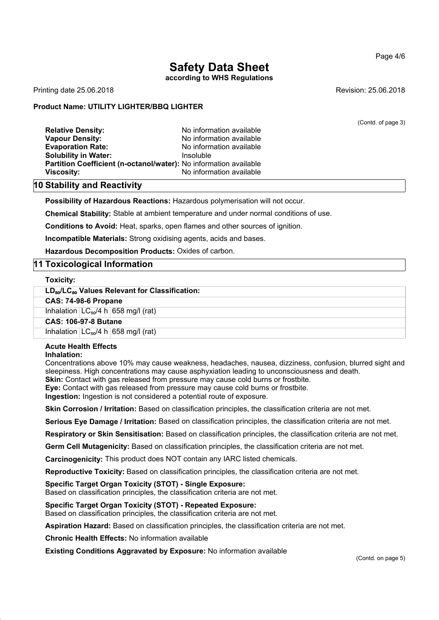**according to WHS Regulations**

Printing date 25.06.2018 **Revision: 25.06.2018** Revision: 25.06.2018

#### **Product Name: UTILITY LIGHTER/BBQ LIGHTER**

(Contd. of page 3)

**Relative Density:** No information available **Vapour Density:** No information available **Evaporation Rate:** No information available **Solubility in Water:** Insoluble **Partition Coefficient (n-octanol/water):** No information available **Viscosity:** No information available

#### **10 Stability and Reactivity**

**Possibility of Hazardous Reactions:** Hazardous polymerisation will not occur.

**Chemical Stability:** Stable at ambient temperature and under normal conditions of use.

**Conditions to Avoid:** Heat, sparks, open flames and other sources of ignition.

**Incompatible Materials:** Strong oxidising agents, acids and bases.

**Hazardous Decomposition Products:** Oxides of carbon.

## **11 Toxicological Information**

**Toxicity:**

**LD**₅₀**/LC**₅₀ **Values Relevant for Classification:**

#### **CAS: 74-98-6 Propane**

Inhalation  $LC_{50}/4 h | 658$  mg/l (rat)

**CAS: 106-97-8 Butane**

Inhalation  $LC_{50}/4$  h 658 mg/l (rat)

#### **Acute Health Effects Inhalation:**

Concentrations above 10% may cause weakness, headaches, nausea, dizziness, confusion, blurred sight and sleepiness. High concentrations may cause asphyxiation leading to unconsciousness and death.

**Skin:** Contact with gas released from pressure may cause cold burns or frostbite.

**Eye:** Contact with gas released from pressure may cause cold burns or frostbite.

**Ingestion:** Ingestion is not considered a potential route of exposure.

**Skin Corrosion / Irritation:** Based on classification principles, the classification criteria are not met.

**Serious Eye Damage / Irritation:** Based on classification principles, the classification criteria are not met.

**Respiratory or Skin Sensitisation:** Based on classification principles, the classification criteria are not met.

**Germ Cell Mutagenicity:** Based on classification principles, the classification criteria are not met.

**Carcinogenicity:** This product does NOT contain any IARC listed chemicals.

**Reproductive Toxicity:** Based on classification principles, the classification criteria are not met.

#### **Specific Target Organ Toxicity (STOT) - Single Exposure:**

Based on classification principles, the classification criteria are not met.

**Specific Target Organ Toxicity (STOT) - Repeated Exposure:**

Based on classification principles, the classification criteria are not met.

**Aspiration Hazard:** Based on classification principles, the classification criteria are not met.

**Chronic Health Effects:** No information available

**Existing Conditions Aggravated by Exposure:** No information available

(Contd. on page 5)

#### Page 4/6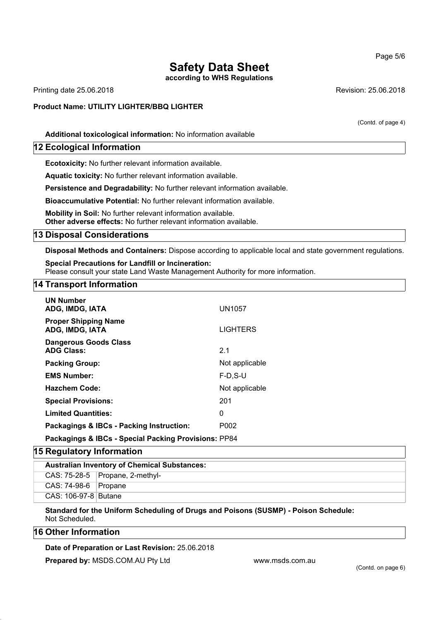**according to WHS Regulations**

Printing date 25.06.2018 **Revision: 25.06.2018** Revision: 25.06.2018

## **Product Name: UTILITY LIGHTER/BBQ LIGHTER**

(Contd. of page 4)

**Additional toxicological information:** No information available

## **12 Ecological Information**

**Ecotoxicity:** No further relevant information available.

**Aquatic toxicity:** No further relevant information available.

**Persistence and Degradability:** No further relevant information available.

**Bioaccumulative Potential:** No further relevant information available.

**Mobility in Soil:** No further relevant information available. **Other adverse effects:** No further relevant information available.

#### **13 Disposal Considerations**

**Disposal Methods and Containers:** Dispose according to applicable local and state government regulations.

**Special Precautions for Landfill or Incineration:** Please consult your state Land Waste Management Authority for more information.

## **14 Transport Information**

| <b>UN Number</b><br>ADG, IMDG, IATA                  | UN1057            |  |  |
|------------------------------------------------------|-------------------|--|--|
| <b>Proper Shipping Name</b><br>ADG, IMDG, IATA       | <b>LIGHTERS</b>   |  |  |
| <b>Dangerous Goods Class</b><br><b>ADG Class:</b>    | 2.1               |  |  |
| <b>Packing Group:</b>                                | Not applicable    |  |  |
| <b>EMS Number:</b>                                   | $F-D$ , $S-U$     |  |  |
| <b>Hazchem Code:</b>                                 | Not applicable    |  |  |
| <b>Special Provisions:</b>                           | 201               |  |  |
| <b>Limited Quantities:</b>                           | 0                 |  |  |
| Packagings & IBCs - Packing Instruction:             | P <sub>0</sub> 02 |  |  |
| Packagings & IBCs - Special Packing Provisions: PP84 |                   |  |  |

## **15 Regulatory Information**

| <b>Australian Inventory of Chemical Substances:</b> |                                   |  |  |
|-----------------------------------------------------|-----------------------------------|--|--|
|                                                     | CAS: $75-28-5$ Propane, 2-methyl- |  |  |
| CAS: 74-98-6   Propane                              |                                   |  |  |
| CAS: 106-97-8   Butane                              |                                   |  |  |
|                                                     |                                   |  |  |

#### **Standard for the Uniform Scheduling of Drugs and Poisons (SUSMP) - Poison Schedule:** Not Scheduled.

## **16 Other Information**

## **Date of Preparation or Last Revision:** 25.06.2018

**Prepared by: MSDS.COM.AU Pty Ltd www.msds.com.au** 

#### Page 5/6